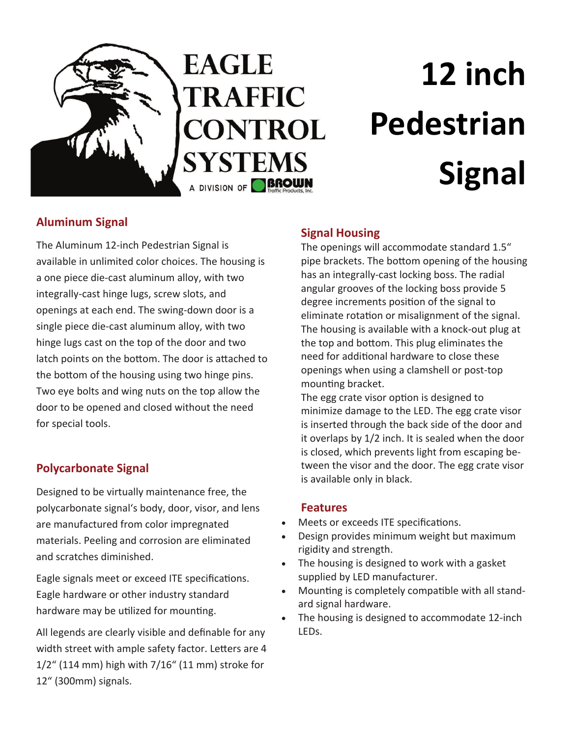

# **12 inch Pedestrian Signal**

# **Aluminum Signal**

The Aluminum 12‐inch Pedestrian Signal is available in unlimited color choices. The housing is a one piece die‐cast aluminum alloy, with two integrally‐cast hinge lugs, screw slots, and openings at each end. The swing‐down door is a single piece die‐cast aluminum alloy, with two hinge lugs cast on the top of the door and two latch points on the bottom. The door is attached to the bottom of the housing using two hinge pins. Two eye bolts and wing nuts on the top allow the door to be opened and closed without the need for special tools.

## **Polycarbonate Signal**

Designed to be virtually maintenance free, the polycarbonate signal's body, door, visor, and lens are manufactured from color impregnated materials. Peeling and corrosion are eliminated and scratches diminished.

Eagle signals meet or exceed ITE specifications. Eagle hardware or other industry standard hardware may be utilized for mounting.

All legends are clearly visible and definable for any width street with ample safety factor. Letters are 4 1/2" (114 mm) high with 7/16" (11 mm) stroke for 12" (300mm) signals.

## **Signal Housing**

The openings will accommodate standard 1.5" pipe brackets. The bottom opening of the housing has an integrally‐cast locking boss. The radial angular grooves of the locking boss provide 5 degree increments position of the signal to eliminate rotation or misalignment of the signal. The housing is available with a knock‐out plug at the top and bottom. This plug eliminates the need for additional hardware to close these openings when using a clamshell or post‐top mounting bracket.

The egg crate visor option is designed to minimize damage to the LED. The egg crate visor is inserted through the back side of the door and it overlaps by 1/2 inch. It is sealed when the door is closed, which prevents light from escaping be‐ tween the visor and the door. The egg crate visor is available only in black.

#### **Features**

- Meets or exceeds ITE specifications.
- Design provides minimum weight but maximum rigidity and strength.
- The housing is designed to work with a gasket supplied by LED manufacturer.
- Mounting is completely compatible with all standard signal hardware.
- The housing is designed to accommodate 12‐inch LEDs.